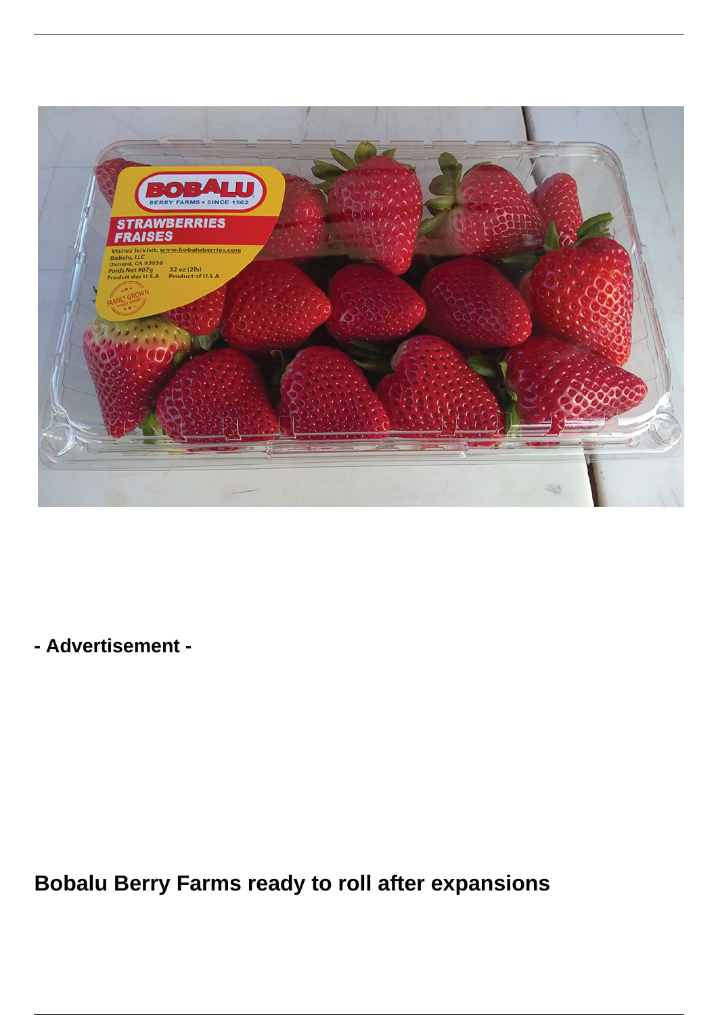

**- Advertisement -**

**Bobalu Berry Farms ready to roll after expansions**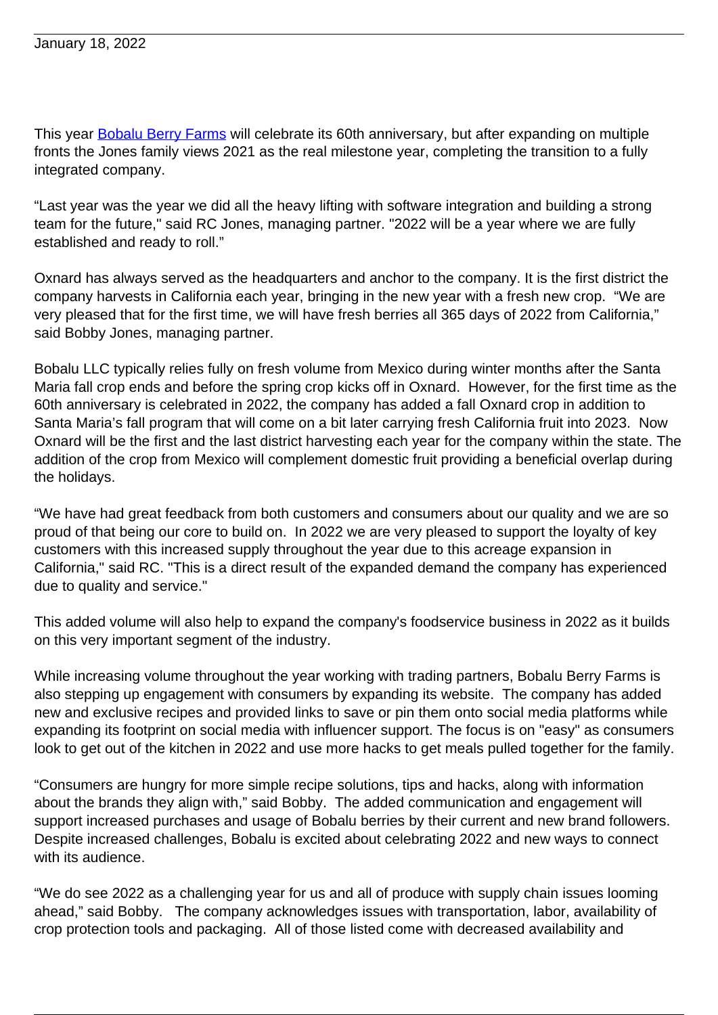This year **Bobalu Berry Farms** will celebrate its 60th anniversary, but after expanding on multiple fronts the Jones family views 2021 as the real milestone year, completing the transition to a fully integrated company.

"Last year was the year we did all the heavy lifting with software integration and building a strong team for the future," said RC Jones, managing partner. "2022 will be a year where we are fully established and ready to roll."

Oxnard has always served as the headquarters and anchor to the company. It is the first district the company harvests in California each year, bringing in the new year with a fresh new crop. "We are very pleased that for the first time, we will have fresh berries all 365 days of 2022 from California," said Bobby Jones, managing partner.

Bobalu LLC typically relies fully on fresh volume from Mexico during winter months after the Santa Maria fall crop ends and before the spring crop kicks off in Oxnard. However, for the first time as the 60th anniversary is celebrated in 2022, the company has added a fall Oxnard crop in addition to Santa Maria's fall program that will come on a bit later carrying fresh California fruit into 2023. Now Oxnard will be the first and the last district harvesting each year for the company within the state. The addition of the crop from Mexico will complement domestic fruit providing a beneficial overlap during the holidays.

"We have had great feedback from both customers and consumers about our quality and we are so proud of that being our core to build on. In 2022 we are very pleased to support the loyalty of key customers with this increased supply throughout the year due to this acreage expansion in California," said RC. "This is a direct result of the expanded demand the company has experienced due to quality and service."

This added volume will also help to expand the company's foodservice business in 2022 as it builds on this very important segment of the industry.

While increasing volume throughout the year working with trading partners, Bobalu Berry Farms is also stepping up engagement with consumers by expanding its website. The company has added new and exclusive recipes and provided links to save or pin them onto social media platforms while expanding its footprint on social media with influencer support. The focus is on "easy" as consumers look to get out of the kitchen in 2022 and use more hacks to get meals pulled together for the family.

"Consumers are hungry for more simple recipe solutions, tips and hacks, along with information about the brands they align with," said Bobby. The added communication and engagement will support increased purchases and usage of Bobalu berries by their current and new brand followers. Despite increased challenges, Bobalu is excited about celebrating 2022 and new ways to connect with its audience.

"We do see 2022 as a challenging year for us and all of produce with supply chain issues looming ahead," said Bobby. The company acknowledges issues with transportation, labor, availability of crop protection tools and packaging. All of those listed come with decreased availability and